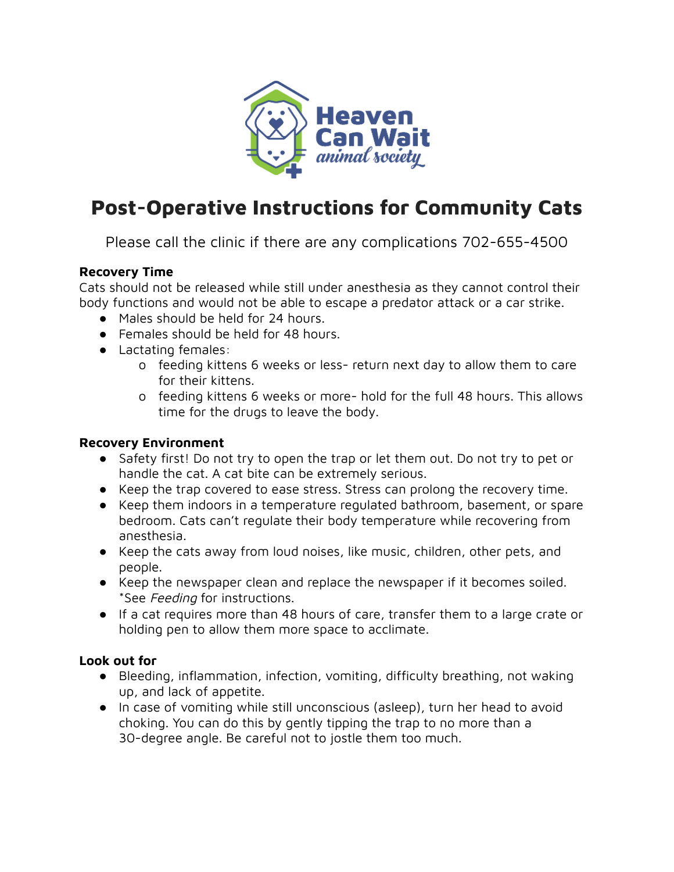

# **Post-Operative Instructions for Community Cats**

Please call the clinic if there are any complications 702-655-4500

# **Recovery Time**

Cats should not be released while still under anesthesia as they cannot control their body functions and would not be able to escape a predator attack or a car strike.

- Males should be held for 24 hours.
- Females should be held for 48 hours.
- Lactating females:
	- o feeding kittens 6 weeks or less- return next day to allow them to care for their kittens.
	- o feeding kittens 6 weeks or more- hold for the full 48 hours. This allows time for the drugs to leave the body.

#### **Recovery Environment**

- Safety first! Do not try to open the trap or let them out. Do not try to pet or handle the cat. A cat bite can be extremely serious.
- Keep the trap covered to ease stress. Stress can prolong the recovery time.
- Keep them indoors in a temperature regulated bathroom, basement, or spare bedroom. Cats can't regulate their body temperature while recovering from anesthesia.
- Keep the cats away from loud noises, like music, children, other pets, and people.
- Keep the newspaper clean and replace the newspaper if it becomes soiled. \*See Feeding for instructions.
- If a cat requires more than 48 hours of care, transfer them to a large crate or holding pen to allow them more space to acclimate.

# **Look out for**

- **●** Bleeding, inflammation, infection, vomiting, difficulty breathing, not waking up, and lack of appetite.
- In case of vomiting while still unconscious (asleep), turn her head to avoid choking. You can do this by gently tipping the trap to no more than a 30-degree angle. Be careful not to jostle them too much.